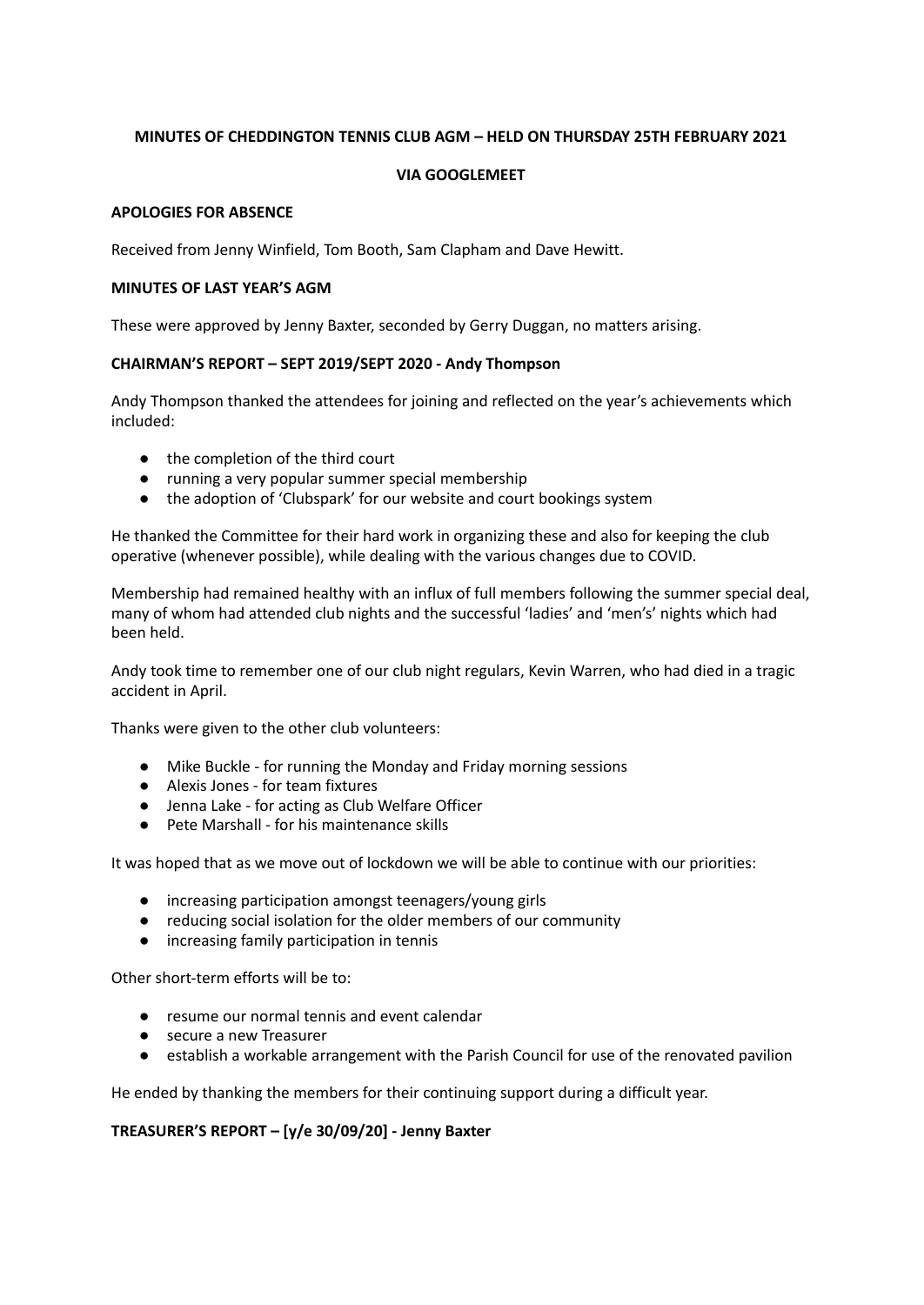# **MINUTES OF CHEDDINGTON TENNIS CLUB AGM – HELD ON THURSDAY 25TH FEBRUARY 2021**

# **VIA GOOGLEMEET**

### **APOLOGIES FOR ABSENCE**

Received from Jenny Winfield, Tom Booth, Sam Clapham and Dave Hewitt.

#### **MINUTES OF LAST YEAR'S AGM**

These were approved by Jenny Baxter, seconded by Gerry Duggan, no matters arising.

### **CHAIRMAN'S REPORT – SEPT 2019/SEPT 2020 - Andy Thompson**

Andy Thompson thanked the attendees for joining and reflected on the year's achievements which included:

- the completion of the third court
- running a very popular summer special membership
- the adoption of 'Clubspark' for our website and court bookings system

He thanked the Committee for their hard work in organizing these and also for keeping the club operative (whenever possible), while dealing with the various changes due to COVID.

Membership had remained healthy with an influx of full members following the summer special deal, many of whom had attended club nights and the successful 'ladies' and 'men's' nights which had been held.

Andy took time to remember one of our club night regulars, Kevin Warren, who had died in a tragic accident in April.

Thanks were given to the other club volunteers:

- Mike Buckle for running the Monday and Friday morning sessions
- Alexis Jones for team fixtures
- Jenna Lake for acting as Club Welfare Officer
- Pete Marshall for his maintenance skills

It was hoped that as we move out of lockdown we will be able to continue with our priorities:

- increasing participation amongst teenagers/young girls
- reducing social isolation for the older members of our community
- increasing family participation in tennis

Other short-term efforts will be to:

- resume our normal tennis and event calendar
- secure a new Treasurer
- establish a workable arrangement with the Parish Council for use of the renovated pavilion

He ended by thanking the members for their continuing support during a difficult year.

# **TREASURER'S REPORT – [y/e 30/09/20] - Jenny Baxter**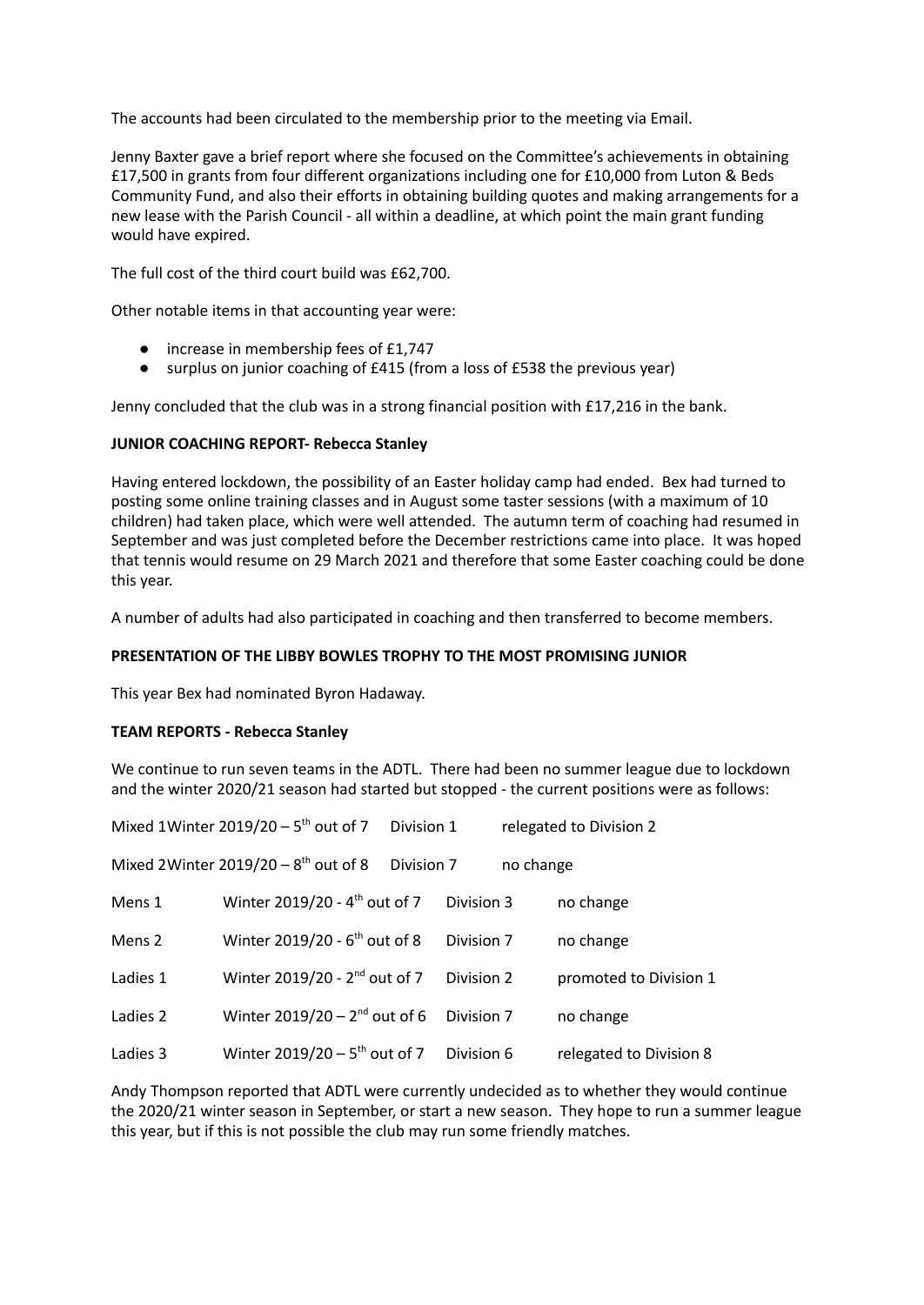The accounts had been circulated to the membership prior to the meeting via Email.

Jenny Baxter gave a brief report where she focused on the Committee's achievements in obtaining £17,500 in grants from four different organizations including one for £10,000 from Luton & Beds Community Fund, and also their efforts in obtaining building quotes and making arrangements for a new lease with the Parish Council - all within a deadline, at which point the main grant funding would have expired.

The full cost of the third court build was £62,700.

Other notable items in that accounting year were:

- increase in membership fees of £1,747
- surplus on junior coaching of £415 (from a loss of £538 the previous year)

Jenny concluded that the club was in a strong financial position with £17,216 in the bank.

### **JUNIOR COACHING REPORT- Rebecca Stanley**

Having entered lockdown, the possibility of an Easter holiday camp had ended. Bex had turned to posting some online training classes and in August some taster sessions (with a maximum of 10 children) had taken place, which were well attended. The autumn term of coaching had resumed in September and was just completed before the December restrictions came into place. It was hoped that tennis would resume on 29 March 2021 and therefore that some Easter coaching could be done this year.

A number of adults had also participated in coaching and then transferred to become members.

### **PRESENTATION OF THE LIBBY BOWLES TROPHY TO THE MOST PROMISING JUNIOR**

This year Bex had nominated Byron Hadaway.

#### **TEAM REPORTS - Rebecca Stanley**

We continue to run seven teams in the ADTL. There had been no summer league due to lockdown and the winter 2020/21 season had started but stopped - the current positions were as follows:

|          | Mixed 1 Winter $2019/20 - 5$ <sup>th</sup> out of 7 | Division 1 |            |           | relegated to Division 2 |
|----------|-----------------------------------------------------|------------|------------|-----------|-------------------------|
|          | Mixed 2Winter $2019/20 - 8$ <sup>th</sup> out of 8  | Division 7 |            | no change |                         |
| Mens 1   | Winter 2019/20 - 4 <sup>th</sup> out of 7           |            | Division 3 |           | no change               |
| Mens 2   | Winter $2019/20 - 6$ <sup>th</sup> out of 8         |            | Division 7 |           | no change               |
| Ladies 1 | Winter 2019/20 - 2 <sup>nd</sup> out of 7           |            | Division 2 |           | promoted to Division 1  |
| Ladies 2 | Winter $2019/20 - 2^{nd}$ out of 6                  |            | Division 7 |           | no change               |
| Ladies 3 | Winter $2019/20 - 5$ <sup>th</sup> out of 7         |            | Division 6 |           | relegated to Division 8 |

Andy Thompson reported that ADTL were currently undecided as to whether they would continue the 2020/21 winter season in September, or start a new season. They hope to run a summer league this year, but if this is not possible the club may run some friendly matches.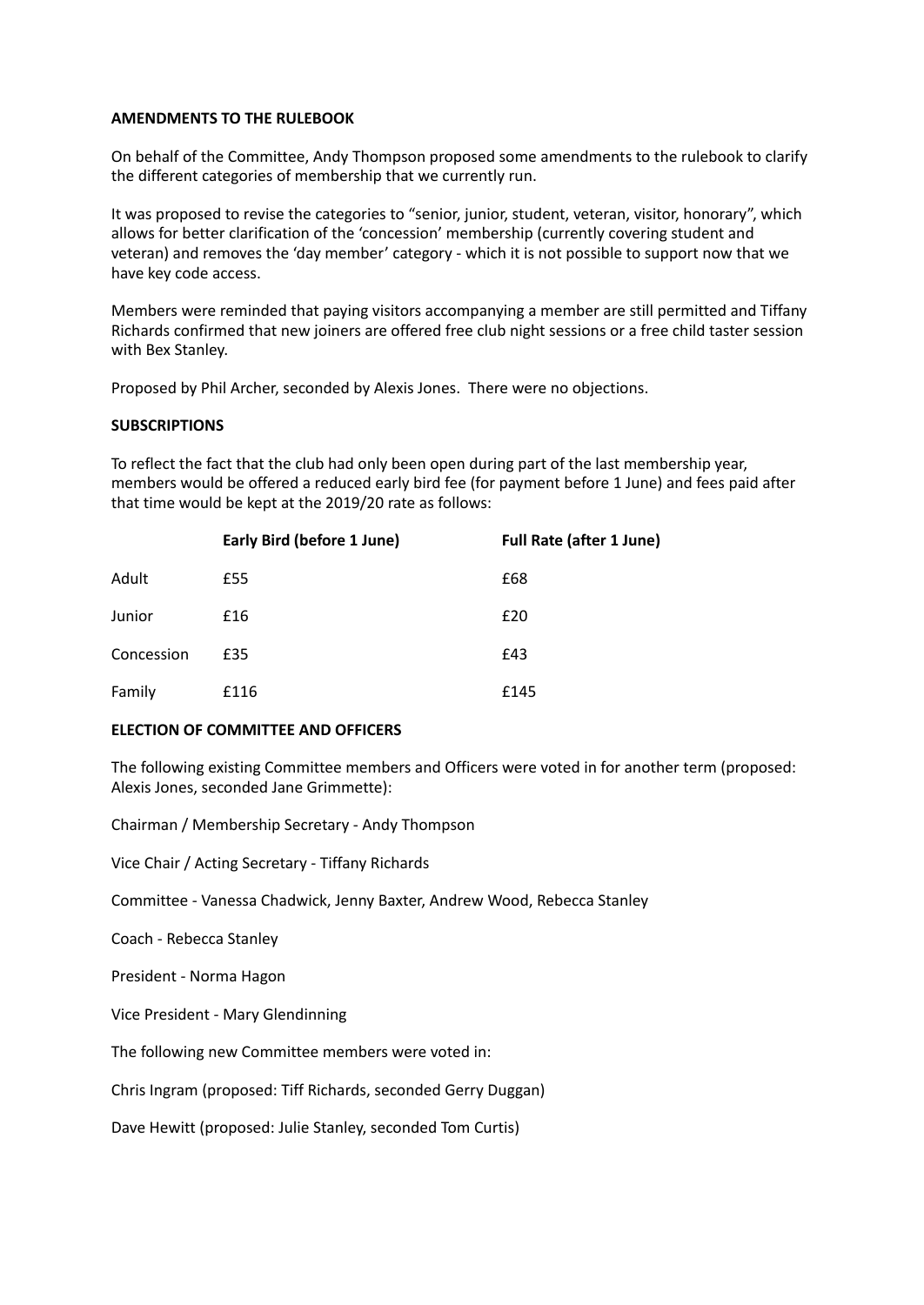#### **AMENDMENTS TO THE RULEBOOK**

On behalf of the Committee, Andy Thompson proposed some amendments to the rulebook to clarify the different categories of membership that we currently run.

It was proposed to revise the categories to "senior, junior, student, veteran, visitor, honorary", which allows for better clarification of the 'concession' membership (currently covering student and veteran) and removes the 'day member' category - which it is not possible to support now that we have key code access.

Members were reminded that paying visitors accompanying a member are still permitted and Tiffany Richards confirmed that new joiners are offered free club night sessions or a free child taster session with Bex Stanley.

Proposed by Phil Archer, seconded by Alexis Jones. There were no objections.

### **SUBSCRIPTIONS**

To reflect the fact that the club had only been open during part of the last membership year, members would be offered a reduced early bird fee (for payment before 1 June) and fees paid after that time would be kept at the 2019/20 rate as follows:

|            | <b>Early Bird (before 1 June)</b> | <b>Full Rate (after 1 June)</b> |
|------------|-----------------------------------|---------------------------------|
| Adult      | £55                               | £68                             |
| Junior     | £16                               | £20                             |
| Concession | £35                               | £43                             |
| Family     | £116                              | £145                            |

# **ELECTION OF COMMITTEE AND OFFICERS**

The following existing Committee members and Officers were voted in for another term (proposed: Alexis Jones, seconded Jane Grimmette):

Chairman / Membership Secretary - Andy Thompson

Vice Chair / Acting Secretary - Tiffany Richards

Committee - Vanessa Chadwick, Jenny Baxter, Andrew Wood, Rebecca Stanley

Coach - Rebecca Stanley

President - Norma Hagon

Vice President - Mary Glendinning

The following new Committee members were voted in:

Chris Ingram (proposed: Tiff Richards, seconded Gerry Duggan)

Dave Hewitt (proposed: Julie Stanley, seconded Tom Curtis)